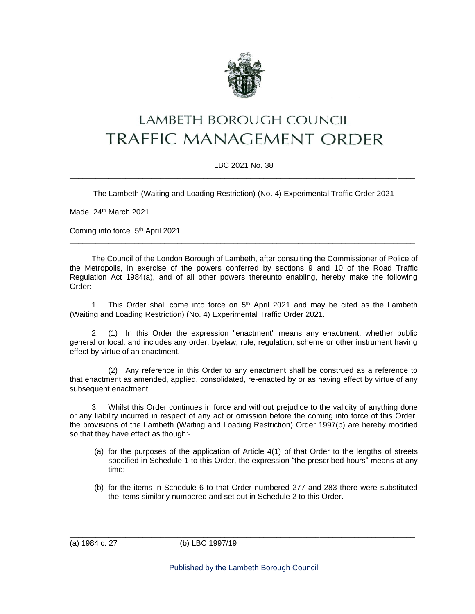

# **LAMBETH BOROUGH COUNCIL TRAFFIC MANAGEMENT ORDER**

## LBC 2021 No. 38 \_\_\_\_\_\_\_\_\_\_\_\_\_\_\_\_\_\_\_\_\_\_\_\_\_\_\_\_\_\_\_\_\_\_\_\_\_\_\_\_\_\_\_\_\_\_\_\_\_\_\_\_\_\_\_\_\_\_\_\_\_\_\_\_\_\_\_\_\_\_\_\_\_\_\_\_\_\_\_\_

The Lambeth (Waiting and Loading Restriction) (No. 4) Experimental Traffic Order 2021

Made 24<sup>th</sup> March 2021

Coming into force 5<sup>th</sup> April 2021

The Council of the London Borough of Lambeth, after consulting the Commissioner of Police of the Metropolis, in exercise of the powers conferred by sections 9 and 10 of the Road Traffic Regulation Act 1984(a), and of all other powers thereunto enabling, hereby make the following Order:-

\_\_\_\_\_\_\_\_\_\_\_\_\_\_\_\_\_\_\_\_\_\_\_\_\_\_\_\_\_\_\_\_\_\_\_\_\_\_\_\_\_\_\_\_\_\_\_\_\_\_\_\_\_\_\_\_\_\_\_\_\_\_\_\_\_\_\_\_\_\_\_\_\_\_\_\_\_\_\_\_

1. This Order shall come into force on  $5<sup>th</sup>$  April 2021 and may be cited as the Lambeth (Waiting and Loading Restriction) (No. 4) Experimental Traffic Order 2021.

2. (1) In this Order the expression "enactment" means any enactment, whether public general or local, and includes any order, byelaw, rule, regulation, scheme or other instrument having effect by virtue of an enactment.

(2) Any reference in this Order to any enactment shall be construed as a reference to that enactment as amended, applied, consolidated, re-enacted by or as having effect by virtue of any subsequent enactment.

Whilst this Order continues in force and without prejudice to the validity of anything done or any liability incurred in respect of any act or omission before the coming into force of this Order, the provisions of the Lambeth (Waiting and Loading Restriction) Order 1997(b) are hereby modified so that they have effect as though:-

- (a) for the purposes of the application of Article 4(1) of that Order to the lengths of streets specified in Schedule 1 to this Order, the expression "the prescribed hours" means at any time;
- (b) for the items in Schedule 6 to that Order numbered 277 and 283 there were substituted the items similarly numbered and set out in Schedule 2 to this Order.

\_\_\_\_\_\_\_\_\_\_\_\_\_\_\_\_\_\_\_\_\_\_\_\_\_\_\_\_\_\_\_\_\_\_\_\_\_\_\_\_\_\_\_\_\_\_\_\_\_\_\_\_\_\_\_\_\_\_\_\_\_\_\_\_\_\_\_\_\_\_\_\_\_\_\_\_\_\_\_\_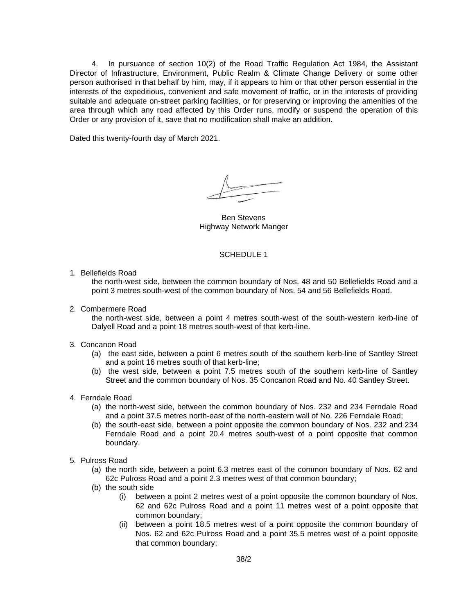4. In pursuance of section 10(2) of the Road Traffic Regulation Act 1984, the Assistant Director of Infrastructure, Environment, Public Realm & Climate Change Delivery or some other person authorised in that behalf by him, may, if it appears to him or that other person essential in the interests of the expeditious, convenient and safe movement of traffic, or in the interests of providing suitable and adequate on-street parking facilities, or for preserving or improving the amenities of the area through which any road affected by this Order runs, modify or suspend the operation of this Order or any provision of it, save that no modification shall make an addition.

Dated this twenty-fourth day of March 2021.

Ben Stevens Highway Network Manger

#### SCHEDULE 1

1. Bellefields Road

the north-west side, between the common boundary of Nos. 48 and 50 Bellefields Road and a point 3 metres south-west of the common boundary of Nos. 54 and 56 Bellefields Road.

2. Combermere Road

the north-west side, between a point 4 metres south-west of the south-western kerb-line of Dalyell Road and a point 18 metres south-west of that kerb-line.

#### 3. Concanon Road

- (a) the east side, between a point 6 metres south of the southern kerb-line of Santley Street and a point 16 metres south of that kerb-line;
- (b) the west side, between a point 7.5 metres south of the southern kerb-line of Santley Street and the common boundary of Nos. 35 Concanon Road and No. 40 Santley Street.
- 4. Ferndale Road
	- (a) the north-west side, between the common boundary of Nos. 232 and 234 Ferndale Road and a point 37.5 metres north-east of the north-eastern wall of No. 226 Ferndale Road;
	- (b) the south-east side, between a point opposite the common boundary of Nos. 232 and 234 Ferndale Road and a point 20.4 metres south-west of a point opposite that common boundary.
- 5. Pulross Road
	- (a) the north side, between a point 6.3 metres east of the common boundary of Nos. 62 and 62c Pulross Road and a point 2.3 metres west of that common boundary;
	- (b) the south side
		- (i) between a point 2 metres west of a point opposite the common boundary of Nos. 62 and 62c Pulross Road and a point 11 metres west of a point opposite that common boundary;
		- (ii) between a point 18.5 metres west of a point opposite the common boundary of Nos. 62 and 62c Pulross Road and a point 35.5 metres west of a point opposite that common boundary;